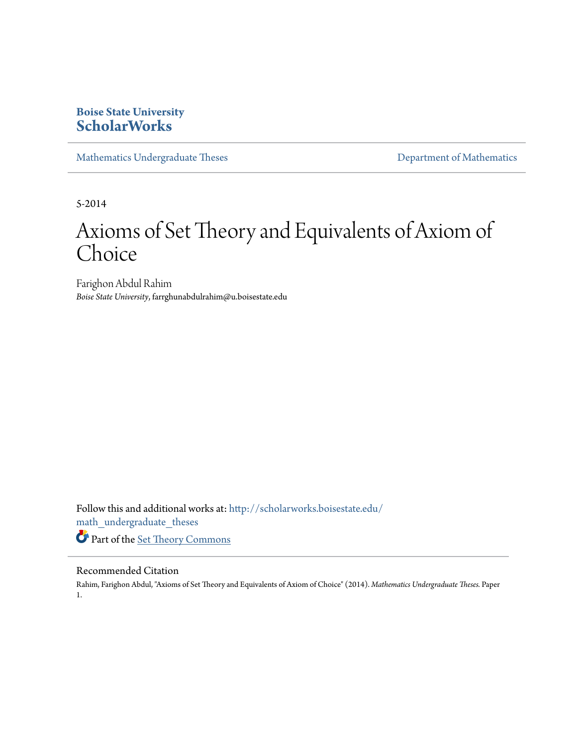## **Boise State University [ScholarWorks](http://scholarworks.boisestate.edu?utm_source=scholarworks.boisestate.edu%2Fmath_undergraduate_theses%2F1&utm_medium=PDF&utm_campaign=PDFCoverPages)**

[Mathematics Undergraduate Theses](http://scholarworks.boisestate.edu/math_undergraduate_theses?utm_source=scholarworks.boisestate.edu%2Fmath_undergraduate_theses%2F1&utm_medium=PDF&utm_campaign=PDFCoverPages) **[Department of Mathematics](http://scholarworks.boisestate.edu/math?utm_source=scholarworks.boisestate.edu%2Fmath_undergraduate_theses%2F1&utm_medium=PDF&utm_campaign=PDFCoverPages)** Department of Mathematics

5-2014

# Axioms of Set Theory and Equivalents of Axiom of Choice

Farighon Abdul Rahim *Boise State University*, farrghunabdulrahim@u.boisestate.edu

Follow this and additional works at: [http://scholarworks.boisestate.edu/](http://scholarworks.boisestate.edu/math_undergraduate_theses?utm_source=scholarworks.boisestate.edu%2Fmath_undergraduate_theses%2F1&utm_medium=PDF&utm_campaign=PDFCoverPages) [math\\_undergraduate\\_theses](http://scholarworks.boisestate.edu/math_undergraduate_theses?utm_source=scholarworks.boisestate.edu%2Fmath_undergraduate_theses%2F1&utm_medium=PDF&utm_campaign=PDFCoverPages) Part of the [Set Theory Commons](http://network.bepress.com/hgg/discipline/184?utm_source=scholarworks.boisestate.edu%2Fmath_undergraduate_theses%2F1&utm_medium=PDF&utm_campaign=PDFCoverPages)

#### Recommended Citation

Rahim, Farighon Abdul, "Axioms of Set Theory and Equivalents of Axiom of Choice" (2014). *Mathematics Undergraduate Theses.* Paper 1.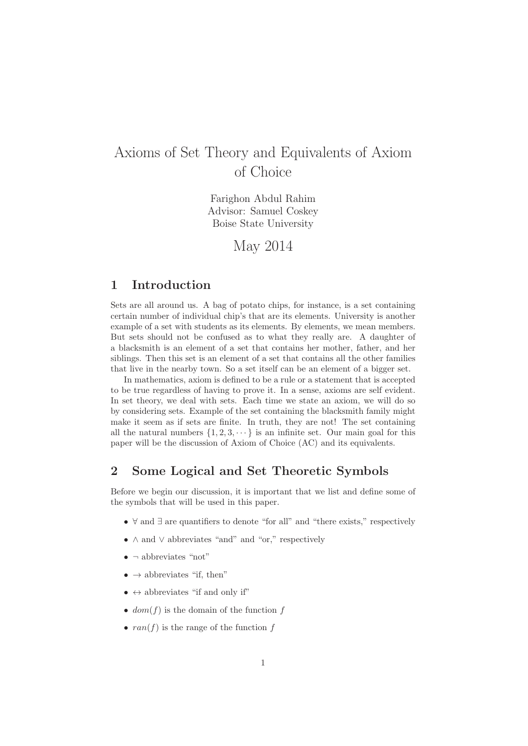# Axioms of Set Theory and Equivalents of Axiom of Choice

Farighon Abdul Rahim Advisor: Samuel Coskey Boise State University

May 2014

### **1 Introduction**

Sets are all around us. A bag of potato chips, for instance, is a set containing certain number of individual chip's that are its elements. University is another example of a set with students as its elements. By elements, we mean members. But sets should not be confused as to what they really are. A daughter of a blacksmith is an element of a set that contains her mother, father, and her siblings. Then this set is an element of a set that contains all the other families that live in the nearby town. So a set itself can be an element of a bigger set.

In mathematics, axiom is defined to be a rule or a statement that is accepted to be true regardless of having to prove it. In a sense, axioms are self evident. In set theory, we deal with sets. Each time we state an axiom, we will do so by considering sets. Example of the set containing the blacksmith family might make it seem as if sets are finite. In truth, they are not! The set containing all the natural numbers  $\{1, 2, 3, \dots\}$  is an infinite set. Our main goal for this paper will be the discussion of Axiom of Choice (AC) and its equivalents.

#### **2 Some Logical and Set Theoretic Symbols**

Before we begin our discussion, it is important that we list and define some of the symbols that will be used in this paper.

- ∀ and ∃ are quantifiers to denote "for all" and "there exists," respectively
- ∧ and ∨ abbreviates "and" and "or," respectively
- $\bullet$   $\neg$  abbreviates "not"
- $\bullet \rightarrow$  abbreviates "if, then"
- $\leftrightarrow$  abbreviates "if and only if"
- $dom(f)$  is the domain of the function f
- $ran(f)$  is the range of the function f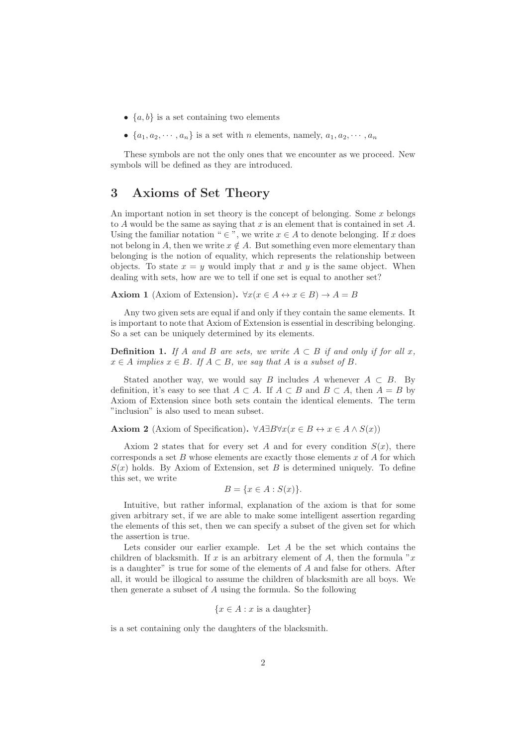- $\{a, b\}$  is a set containing two elements
- $\{a_1, a_2, \dots, a_n\}$  is a set with *n* elements, namely,  $a_1, a_2, \dots, a_n$

These symbols are not the only ones that we encounter as we proceed. New symbols will be defined as they are introduced.

#### **3 Axioms of Set Theory**

An important notion in set theory is the concept of belonging. Some  $x$  belongs to  $A$  would be the same as saying that  $x$  is an element that is contained in set  $A$ . Using the familiar notation "  $\in$  ", we write  $x \in A$  to denote belonging. If x does not belong in A, then we write  $x \notin A$ . But something even more elementary than belonging is the notion of equality, which represents the relationship between objects. To state  $x = y$  would imply that x and y is the same object. When dealing with sets, how are we to tell if one set is equal to another set?

**Axiom 1** (Axiom of Extension).  $\forall x (x \in A \leftrightarrow x \in B) \rightarrow A = B$ 

Any two given sets are equal if and only if they contain the same elements. It is important to note that Axiom of Extension is essential in describing belonging. So a set can be uniquely determined by its elements.

**Definition 1.** *If* A and B are sets, we write  $A \subset B$  *if and only if for all* x,  $x \in A$  *implies*  $x \in B$ *. If*  $A \subset B$ *, we say that* A *is a subset of* B.

Stated another way, we would say B includes A whenever  $A \subset B$ . By definition, it's easy to see that  $A \subset A$ . If  $A \subset B$  and  $B \subset A$ , then  $A = B$  by Axiom of Extension since both sets contain the identical elements. The term "inclusion" is also used to mean subset.

**Axiom 2** (Axiom of Specification).  $\forall A \exists B \forall x (x \in B \leftrightarrow x \in A \land S(x))$ 

Axiom 2 states that for every set A and for every condition  $S(x)$ , there corresponds a set B whose elements are exactly those elements  $x$  of A for which  $S(x)$  holds. By Axiom of Extension, set B is determined uniquely. To define this set, we write

$$
B = \{x \in A : S(x)\}.
$$

Intuitive, but rather informal, explanation of the axiom is that for some given arbitrary set, if we are able to make some intelligent assertion regarding the elements of this set, then we can specify a subset of the given set for which the assertion is true.

Lets consider our earlier example. Let  $A$  be the set which contains the children of blacksmith. If x is an arbitrary element of A, then the formula "x" is a daughter" is true for some of the elements of  $A$  and false for others. After all, it would be illogical to assume the children of blacksmith are all boys. We then generate a subset of A using the formula. So the following

$$
\{x \in A : x \text{ is a daughter}\}\
$$

is a set containing only the daughters of the blacksmith.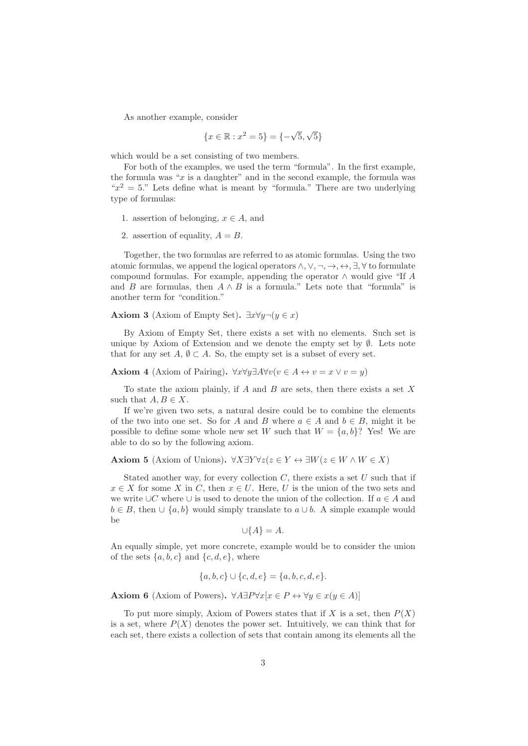As another example, consider

$$
\{x \in \mathbb{R} : x^2 = 5\} = \{-\sqrt{5}, \sqrt{5}\}\
$$

which would be a set consisting of two members.

For both of the examples, we used the term "formula". In the first example, the formula was " $x$  is a daughter" and in the second example, the formula was " $x^2 = 5$ ." Lets define what is meant by "formula." There are two underlying type of formulas:

- 1. assertion of belonging,  $x \in A$ , and
- 2. assertion of equality,  $A = B$ .

Together, the two formulas are referred to as atomic formulas. Using the two atomic formulas, we append the logical operators  $\wedge$ ,  $\vee$ ,  $\neg$ ,  $\leftrightarrow$ ,  $\exists$ ,  $\forall$  to formulate compound formulas. For example, appending the operator  $\wedge$  would give "If A and B are formulas, then  $A \wedge B$  is a formula." Lets note that "formula" is another term for "condition."

**Axiom 3** (Axiom of Empty Set).  $\exists x \forall y \neg (y \in x)$ 

By Axiom of Empty Set, there exists a set with no elements. Such set is unique by Axiom of Extension and we denote the empty set by  $\emptyset$ . Lets note that for any set  $A, \emptyset \subset A$ . So, the empty set is a subset of every set.

**Axiom 4** (Axiom of Pairing).  $\forall x \forall y \exists A \forall v (v \in A \leftrightarrow v = x \lor v = y)$ 

To state the axiom plainly, if  $A$  and  $B$  are sets, then there exists a set  $X$ such that  $A, B \in X$ .

If we're given two sets, a natural desire could be to combine the elements of the two into one set. So for A and B where  $a \in A$  and  $b \in B$ , might it be possible to define some whole new set W such that  $W = \{a, b\}$ ? Yes! We are able to do so by the following axiom.

**Axiom 5** (Axiom of Unions).  $\forall X \exists Y \forall z (z \in Y \leftrightarrow \exists W (z \in W \land W \in X))$ 

Stated another way, for every collection  $C$ , there exists a set  $U$  such that if  $x \in X$  for some X in C, then  $x \in U$ . Here, U is the union of the two sets and we write ∪C where ∪ is used to denote the union of the collection. If  $a \in A$  and  $b \in B$ , then  $\cup \{a, b\}$  would simply translate to  $a \cup b$ . A simple example would be

$$
\cup \{A\} = A.
$$

An equally simple, yet more concrete, example would be to consider the union of the sets  $\{a, b, c\}$  and  $\{c, d, e\}$ , where

$$
\{a, b, c\} \cup \{c, d, e\} = \{a, b, c, d, e\}.
$$

**Axiom 6** (Axiom of Powers).  $\forall A \exists P \forall x [x \in P \leftrightarrow \forall y \in x (y \in A)]$ 

To put more simply, Axiom of Powers states that if X is a set, then  $P(X)$ is a set, where  $P(X)$  denotes the power set. Intuitively, we can think that for each set, there exists a collection of sets that contain among its elements all the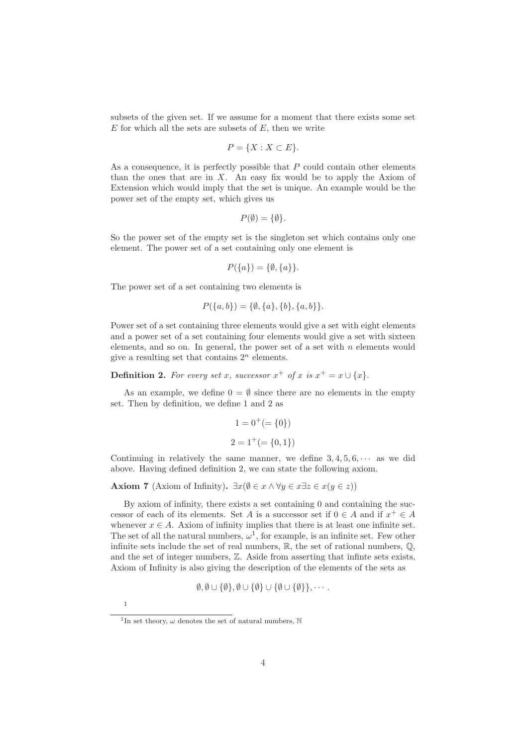subsets of the given set. If we assume for a moment that there exists some set  $E$  for which all the sets are subsets of  $E$ , then we write

$$
P = \{X : X \subset E\}.
$$

As a consequence, it is perfectly possible that  $P$  could contain other elements than the ones that are in  $X$ . An easy fix would be to apply the Axiom of Extension which would imply that the set is unique. An example would be the power set of the empty set, which gives us

$$
P(\emptyset) = \{\emptyset\}.
$$

So the power set of the empty set is the singleton set which contains only one element. The power set of a set containing only one element is

$$
P({a}) = {\emptyset, {a}}
$$

The power set of a set containing two elements is

$$
P({a,b}) = {\emptyset, {a}, {b}, {a,b}}.
$$

Power set of a set containing three elements would give a set with eight elements and a power set of a set containing four elements would give a set with sixteen elements, and so on. In general, the power set of a set with  $n$  elements would give a resulting set that contains  $2^n$  elements.

**Definition 2.** For every set x, successor  $x^+$  of x is  $x^+ = x \cup \{x\}$ .

As an example, we define  $0 = \emptyset$  since there are no elements in the empty set. Then by definition, we define 1 and 2 as

$$
1 = 0^{+} (= \{0\})
$$
  

$$
2 = 1^{+} (= \{0, 1\})
$$

Continuing in relatively the same manner, we define  $3, 4, 5, 6, \cdots$  as we did above. Having defined definition 2, we can state the following axiom.

**Axiom 7** (Axiom of Infinity).  $\exists x(\emptyset \in x \land \forall y \in x \exists z \in x(y \in z))$ 

By axiom of infinity, there exists a set containing 0 and containing the successor of each of its elements. Set A is a successor set if  $0 \in A$  and if  $x^+ \in A$ whenever  $x \in A$ . Axiom of infinity implies that there is at least one infinite set. The set of all the natural numbers,  $\omega^1$ , for example, is an infinite set. Few other infinite sets include the set of real numbers,  $\mathbb{R}$ , the set of rational numbers,  $\mathbb{Q}$ , and the set of integer numbers,  $Z$ . Aside from asserting that infinite sets exists, Axiom of Infinity is also giving the description of the elements of the sets as

$$
\emptyset, \emptyset \cup \{\emptyset\}, \emptyset \cup \{\emptyset\} \cup \{\emptyset \cup \{\emptyset\}\}, \cdots
$$

1

<sup>&</sup>lt;sup>1</sup>In set theory,  $\omega$  denotes the set of natural numbers, N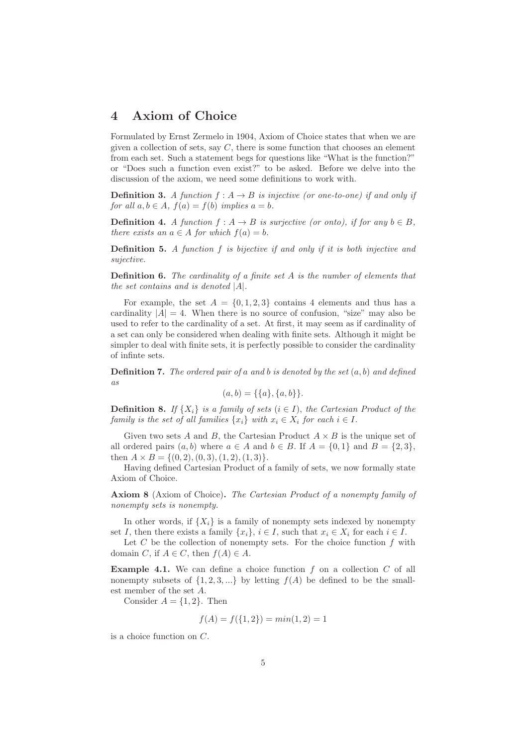#### **4 Axiom of Choice**

Formulated by Ernst Zermelo in 1904, Axiom of Choice states that when we are given a collection of sets, say  $C$ , there is some function that chooses an element from each set. Such a statement begs for questions like "What is the function?" or "Does such a function even exist?" to be asked. Before we delve into the discussion of the axiom, we need some definitions to work with.

**Definition 3.** A function  $f : A \rightarrow B$  is injective (or one-to-one) if and only if *for all*  $a, b \in A$ *,*  $f(a) = f(b)$  *implies*  $a = b$ *.* 

**Definition 4.** *A function*  $f : A \rightarrow B$  *is surjective (or onto), if for any*  $b \in B$ , *there exists an*  $a \in A$  *for which*  $f(a) = b$ *.* 

**Definition 5.** *A function* f *is bijective if and only if it is both injective and sujective.*

**Definition 6.** *The cardinality of a finite set* A *is the number of elements that the set contains and is denoted* |A|*.*

For example, the set  $A = \{0, 1, 2, 3\}$  contains 4 elements and thus has a cardinality  $|A| = 4$ . When there is no source of confusion, "size" may also be used to refer to the cardinality of a set. At first, it may seem as if cardinality of a set can only be considered when dealing with finite sets. Although it might be simpler to deal with finite sets, it is perfectly possible to consider the cardinality of infinte sets.

**Definition 7.** *The ordered pair of* a *and* b *is denoted by the set* (a, b) *and defined as*

$$
(a, b) = \{\{a\}, \{a, b\}\}.
$$

**Definition 8.** *If*  $\{X_i\}$  *is a family of sets*  $(i \in I)$ *, the Cartesian Product of the family is the set of all families*  $\{x_i\}$  *with*  $x_i \in X_i$  *for each*  $i \in I$ .

Given two sets A and B, the Cartesian Product  $A \times B$  is the unique set of all ordered pairs  $(a, b)$  where  $a \in A$  and  $b \in B$ . If  $A = \{0, 1\}$  and  $B = \{2, 3\}$ , then  $A \times B = \{(0, 2), (0, 3), (1, 2), (1, 3)\}.$ 

Having defined Cartesian Product of a family of sets, we now formally state Axiom of Choice.

**Axiom 8** (Axiom of Choice)**.** *The Cartesian Product of a nonempty family of nonempty sets is nonempty.*

In other words, if  $\{X_i\}$  is a family of nonempty sets indexed by nonempty set I, then there exists a family  $\{x_i\}, i \in I$ , such that  $x_i \in X_i$  for each  $i \in I$ .

Let  $C$  be the collection of nonempty sets. For the choice function  $f$  with domain C, if  $A \in C$ , then  $f(A) \in A$ .

**Example 4.1.** We can define a choice function f on a collection C of all nonempty subsets of  $\{1, 2, 3, ...\}$  by letting  $f(A)$  be defined to be the smallest member of the set A.

Consider  $A = \{1, 2\}$ . Then

$$
f(A) = f(\{1, 2\}) = \min(1, 2) = 1
$$

is a choice function on C.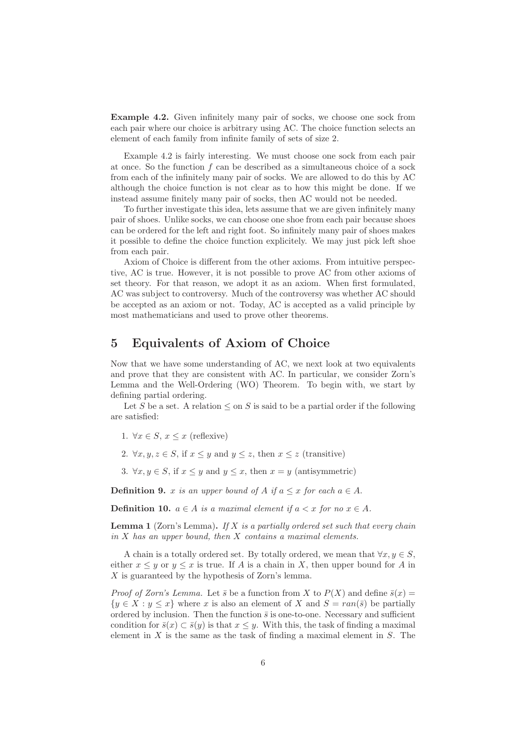**Example 4.2.** Given infinitely many pair of socks, we choose one sock from each pair where our choice is arbitrary using AC. The choice function selects an element of each family from infinite family of sets of size 2.

Example 4.2 is fairly interesting. We must choose one sock from each pair at once. So the function  $f$  can be described as a simultaneous choice of a sock from each of the infinitely many pair of socks. We are allowed to do this by AC although the choice function is not clear as to how this might be done. If we instead assume finitely many pair of socks, then AC would not be needed.

To further investigate this idea, lets assume that we are given infinitely many pair of shoes. Unlike socks, we can choose one shoe from each pair because shoes can be ordered for the left and right foot. So infinitely many pair of shoes makes it possible to define the choice function explicitely. We may just pick left shoe from each pair.

Axiom of Choice is different from the other axioms. From intuitive perspective, AC is true. However, it is not possible to prove AC from other axioms of set theory. For that reason, we adopt it as an axiom. When first formulated, AC was subject to controversy. Much of the controversy was whether AC should be accepted as an axiom or not. Today, AC is accepted as a valid principle by most mathematicians and used to prove other theorems.

#### **5 Equivalents of Axiom of Choice**

Now that we have some understanding of AC, we next look at two equivalents and prove that they are consistent with AC. In particular, we consider Zorn's Lemma and the Well-Ordering (WO) Theorem. To begin with, we start by defining partial ordering.

Let S be a set. A relation  $\leq$  on S is said to be a partial order if the following are satisfied:

- 1.  $\forall x \in S, x \leq x$  (reflexive)
- 2.  $\forall x, y, z \in S$ , if  $x \leq y$  and  $y \leq z$ , then  $x \leq z$  (transitive)
- 3.  $\forall x, y \in S$ , if  $x \leq y$  and  $y \leq x$ , then  $x = y$  (antisymmetric)

**Definition 9.** x *is an upper bound of* A *if*  $a \leq x$  *for each*  $a \in A$ .

**Definition 10.**  $a \in A$  *is a maximal element if*  $a < x$  *for no*  $x \in A$ *.* 

**Lemma 1** (Zorn's Lemma)**.** *If* X *is a partially ordered set such that every chain in* X *has an upper bound, then* X *contains a maximal elements.*

A chain is a totally ordered set. By totally ordered, we mean that  $\forall x, y \in S$ , either  $x \leq y$  or  $y \leq x$  is true. If A is a chain in X, then upper bound for A in  $X$  is guaranteed by the hypothesis of Zorn's lemma.

*Proof of Zorn's Lemma.* Let  $\bar{s}$  be a function from X to  $P(X)$  and define  $\bar{s}(x)$  =  $\{y \in X : y \leq x\}$  where x is also an element of X and  $S = \text{ran}(\bar{s})$  be partially ordered by inclusion. Then the function  $\bar{s}$  is one-to-one. Necessary and sufficient condition for  $\bar{s}(x) \subset \bar{s}(y)$  is that  $x \leq y$ . With this, the task of finding a maximal element in  $X$  is the same as the task of finding a maximal element in  $S$ . The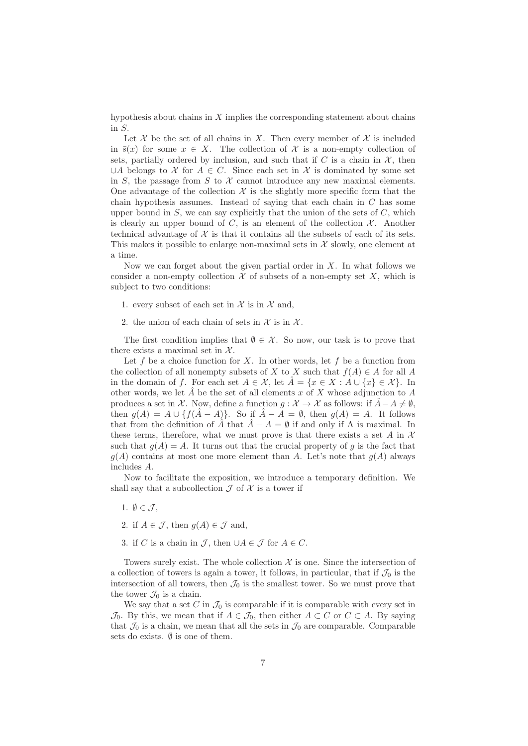hypothesis about chains in  $X$  implies the corresponding statement about chains in S.

Let X be the set of all chains in X. Then every member of X is included in  $\bar{s}(x)$  for some  $x \in X$ . The collection of X is a non-empty collection of sets, partially ordered by inclusion, and such that if  $C$  is a chain in  $\mathcal{X}$ , then ∪A belongs to X for  $A \in C$ . Since each set in X is dominated by some set in S, the passage from S to X cannot introduce any new maximal elements. One advantage of the collection  $\mathcal X$  is the slightly more specific form that the chain hypothesis assumes. Instead of saying that each chain in  $C$  has some upper bound in  $S$ , we can say explicitly that the union of the sets of  $C$ , which is clearly an upper bound of  $C$ , is an element of the collection  $\mathcal{X}$ . Another technical advantage of  $X$  is that it contains all the subsets of each of its sets. This makes it possible to enlarge non-maximal sets in  $\mathcal X$  slowly, one element at a time.

Now we can forget about the given partial order in  $X$ . In what follows we consider a non-empty collection  $\mathcal X$  of subsets of a non-empty set X, which is subject to two conditions:

- 1. every subset of each set in  $\mathcal X$  is in  $\mathcal X$  and,
- 2. the union of each chain of sets in  $\mathcal X$  is in  $\mathcal X$ .

The first condition implies that  $\emptyset \in \mathcal{X}$ . So now, our task is to prove that there exists a maximal set in  $\mathcal{X}$ .

Let  $f$  be a choice function for  $X$ . In other words, let  $f$  be a function from the collection of all nonempty subsets of X to X such that  $f(A) \in A$  for all A in the domain of f. For each set  $A \in \mathcal{X}$ , let  $\hat{A} = \{x \in X : A \cup \{x\} \in \mathcal{X}\}\$ . In other words, we let  $\hat{A}$  be the set of all elements x of X whose adjunction to A produces a set in X. Now, define a function  $g: \mathcal{X} \to \mathcal{X}$  as follows: if  $\hat{A} - A \neq \emptyset$ , then  $g(A) = A \cup \{f(\hat{A} - A)\}.$  So if  $\hat{A} - A = \emptyset$ , then  $g(A) = A$ . It follows that from the definition of  $\tilde{A}$  that  $\tilde{A} - A = \emptyset$  if and only if A is maximal. In these terms, therefore, what we must prove is that there exists a set A in  $\mathcal X$ such that  $q(A) = A$ . It turns out that the crucial property of q is the fact that  $g(A)$  contains at most one more element than A. Let's note that  $g(A)$  always includes A.

Now to facilitate the exposition, we introduce a temporary definition. We shall say that a subcollection  $\mathcal J$  of  $\mathcal X$  is a tower if

- 1.  $\emptyset \in \mathcal{J}$ ,
- 2. if  $A \in \mathcal{J}$ , then  $g(A) \in \mathcal{J}$  and,
- 3. if C is a chain in  $\mathcal{J}$ , then  $\cup A \in \mathcal{J}$  for  $A \in C$ .

Towers surely exist. The whole collection  $X$  is one. Since the intersection of a collection of towers is again a tower, it follows, in particular, that if  $\mathcal{J}_0$  is the intersection of all towers, then  $\mathcal{J}_0$  is the smallest tower. So we must prove that the tower  $\mathcal{J}_0$  is a chain.

We say that a set  $C$  in  $\mathcal{J}_0$  is comparable if it is comparable with every set in  $\mathcal{J}_0$ . By this, we mean that if  $A \in \mathcal{J}_0$ , then either  $A \subset C$  or  $C \subset A$ . By saying that  $\mathcal{J}_0$  is a chain, we mean that all the sets in  $\mathcal{J}_0$  are comparable. Comparable sets do exists.  $\emptyset$  is one of them.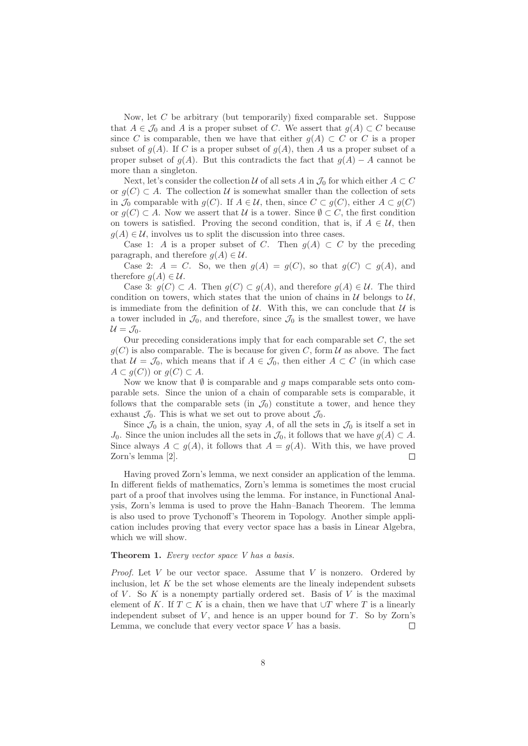Now, let C be arbitrary (but temporarily) fixed comparable set. Suppose that  $A \in \mathcal{J}_0$  and A is a proper subset of C. We assert that  $g(A) \subset C$  because since C is comparable, then we have that either  $g(A) \subset C$  or C is a proper subset of  $g(A)$ . If C is a proper subset of  $g(A)$ , then A us a proper subset of a proper subset of  $g(A)$ . But this contradicts the fact that  $g(A) - A$  cannot be more than a singleton.

Next, let's consider the collection U of all sets A in  $\mathcal{J}_0$  for which either  $A \subset C$ or  $g(C) \subset A$ . The collection U is somewhat smaller than the collection of sets in  $\mathcal{J}_0$  comparable with  $g(C)$ . If  $A \in \mathcal{U}$ , then, since  $C \subset g(C)$ , either  $A \subset g(C)$ or  $g(C) \subset A$ . Now we assert that U is a tower. Since  $\emptyset \subset C$ , the first condition on towers is satisfied. Proving the second condition, that is, if  $A \in \mathcal{U}$ , then  $g(A) \in \mathcal{U}$ , involves us to split the discussion into three cases.

Case 1: A is a proper subset of C. Then  $g(A) \subset C$  by the preceding paragraph, and therefore  $g(A) \in \mathcal{U}$ .

Case 2:  $A = C$ . So, we then  $g(A) = g(C)$ , so that  $g(C) \subset g(A)$ , and therefore  $q(A) \in \mathcal{U}$ .

Case 3:  $g(C) \subset A$ . Then  $g(C) \subset g(A)$ , and therefore  $g(A) \in \mathcal{U}$ . The third condition on towers, which states that the union of chains in  $\mathcal U$  belongs to  $\mathcal U$ , is immediate from the definition of  $U$ . With this, we can conclude that  $U$  is a tower included in  $\mathcal{J}_0$ , and therefore, since  $\mathcal{J}_0$  is the smallest tower, we have  $U = \mathcal{J}_0$ .

Our preceding considerations imply that for each comparable set  $C$ , the set  $g(C)$  is also comparable. The is because for given C, form U as above. The fact that  $U = \mathcal{J}_0$ , which means that if  $A \in \mathcal{J}_0$ , then either  $A \subset C$  (in which case  $A \subset g(C)$  or  $g(C) \subset A$ .

Now we know that  $\emptyset$  is comparable and g maps comparable sets onto comparable sets. Since the union of a chain of comparable sets is comparable, it follows that the comparable sets (in  $\mathcal{J}_0$ ) constitute a tower, and hence they exhaust  $\mathcal{J}_0$ . This is what we set out to prove about  $\mathcal{J}_0$ .

Since  $\mathcal{J}_0$  is a chain, the union, syay A, of all the sets in  $\mathcal{J}_0$  is itself a set in J<sub>0</sub>. Since the union includes all the sets in  $\mathcal{J}_0$ , it follows that we have  $g(A) \subset A$ . Since always  $A \subset g(A)$ , it follows that  $A = g(A)$ . With this, we have proved Zorn's lemma [2]. Г

Having proved Zorn's lemma, we next consider an application of the lemma. In different fields of mathematics, Zorn's lemma is sometimes the most crucial part of a proof that involves using the lemma. For instance, in Functional Analysis, Zorn's lemma is used to prove the Hahn–Banach Theorem. The lemma is also used to prove Tychonoff's Theorem in Topology. Another simple application includes proving that every vector space has a basis in Linear Algebra, which we will show.

#### **Theorem 1.** *Every vector space V has a basis.*

*Proof.* Let V be our vector space. Assume that V is nonzero. Ordered by inclusion, let  $K$  be the set whose elements are the linealy independent subsets of  $V$ . So  $K$  is a nonempty partially ordered set. Basis of  $V$  is the maximal element of K. If  $T \subset K$  is a chain, then we have that  $\cup T$  where T is a linearly independent subset of  $V$ , and hence is an upper bound for  $T$ . So by Zorn's Lemma, we conclude that every vector space  $V$  has a basis.  $\Box$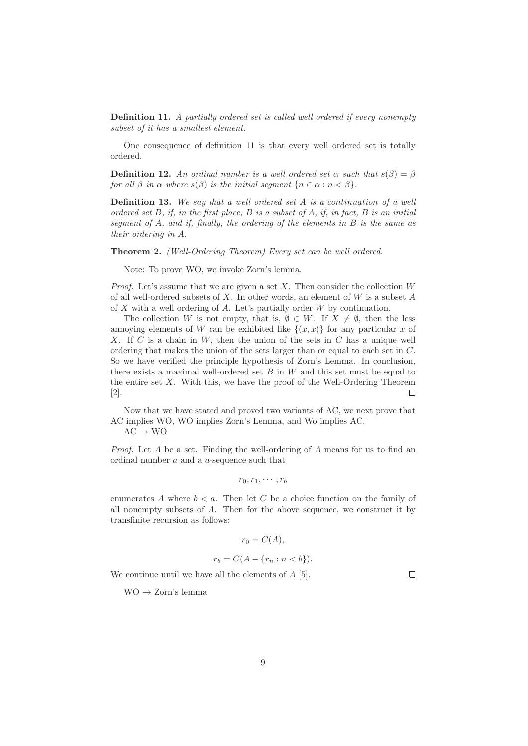**Definition 11.** *A partially ordered set is called well ordered if every nonempty subset of it has a smallest element.*

One consequence of definition 11 is that every well ordered set is totally ordered.

**Definition 12.** An ordinal number is a well ordered set  $\alpha$  such that  $s(\beta) = \beta$ *for all*  $\beta$  *in*  $\alpha$  *where*  $s(\beta)$  *is the initial segment*  $\{n \in \alpha : n < \beta\}.$ 

**Definition 13.** *We say that a well ordered set* A *is a* continuation *of a well ordered set* B*, if, in the first place,* B *is a subset of* A*, if, in fact,* B *is an initial segment of* A*, and if, finally, the ordering of the elements in* B *is the same as their ordering in* A*.*

**Theorem 2.** *(Well-Ordering Theorem) Every set can be well ordered.*

Note: To prove WO, we invoke Zorn's lemma.

*Proof.* Let's assume that we are given a set  $X$ . Then consider the collection  $W$ of all well-ordered subsets of X. In other words, an element of  $W$  is a subset  $A$ of X with a well ordering of A. Let's partially order W by continuation.

The collection W is not empty, that is,  $\emptyset \in W$ . If  $X \neq \emptyset$ , then the less annoying elements of W can be exhibited like  $\{(x, x)\}\$ for any particular x of X. If  $C$  is a chain in  $W$ , then the union of the sets in  $C$  has a unique well ordering that makes the union of the sets larger than or equal to each set in C. So we have verified the principle hypothesis of Zorn's Lemma. In conclusion, there exists a maximal well-ordered set  $B$  in  $W$  and this set must be equal to the entire set  $X$ . With this, we have the proof of the Well-Ordering Theorem [2].  $\Box$ 

Now that we have stated and proved two variants of AC, we next prove that AC implies WO, WO implies Zorn's Lemma, and Wo implies AC.

 $AC \rightarrow WO$ 

*Proof.* Let A be a set. Finding the well-ordering of A means for us to find an ordinal number a and a a-sequence such that

$$
r_0,r_1,\cdots,r_b
$$

enumerates A where  $b < a$ . Then let C be a choice function on the family of all nonempty subsets of  $A$ . Then for the above sequence, we construct it by transfinite recursion as follows:

$$
r_0 = C(A),
$$

$$
r_b = C(A - \{r_n : n < b\}).
$$

 $\Box$ 

We continue until we have all the elements of A [5].

 $WO \rightarrow Zorn's$  lemma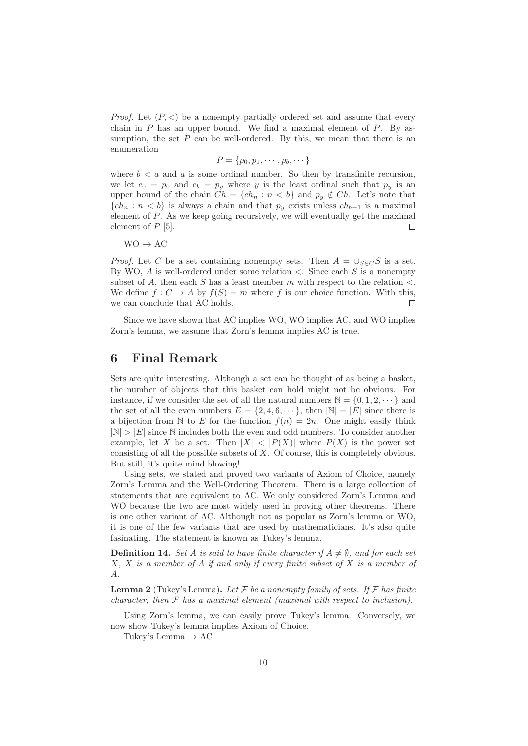*Proof.* Let  $(P, \leq)$  be a nonempty partially ordered set and assume that every chain in  $P$  has an upper bound. We find a maximal element of  $P$ . By assumption, the set  $P$  can be well-ordered. By this, we mean that there is an enumeration

$$
P = \{p_0, p_1, \cdots, p_b, \cdots\}
$$

where  $b < a$  and a is some ordinal number. So then by transfinite recursion, we let  $c_0 = p_0$  and  $c_b = p_y$  where y is the least ordinal such that  $p_y$  is an upper bound of the chain  $Ch = \{ch_n : n < b\}$  and  $p_y \notin Ch$ . Let's note that  ${ch_n : n < b}$  is always a chain and that  $p_y$  exists unless  $ch_{b-1}$  is a maximal element of P. As we keep going recursively, we will eventually get the maximal element of  $P$  [5].  $\Box$ 

 $WO \rightarrow AC$ 

*Proof.* Let C be a set containing nonempty sets. Then  $A = \bigcup_{S \in C} S$  is a set. By WO,  $A$  is well-ordered under some relation  $\lt$ . Since each  $S$  is a nonempty subset of A, then each S has a least member m with respect to the relation  $\lt$ . We define  $f: C \to A$  by  $f(S) = m$  where f is our choice function. With this, we can conclude that AC holds.  $\Box$ 

Since we have shown that AC implies WO, WO implies AC, and WO implies Zorn's lemma, we assume that Zorn's lemma implies AC is true.

#### **6 Final Remark**

Sets are quite interesting. Although a set can be thought of as being a basket, the number of objects that this basket can hold might not be obvious. For instance, if we consider the set of all the natural numbers  $\mathbb{N} = \{0, 1, 2, \dots\}$  and the set of all the even numbers  $E = \{2, 4, 6, \dots\}$ , then  $|\mathbb{N}| = |E|$  since there is a bijection from N to E for the function  $f(n)=2n$ . One might easily think  $|\mathbb{N}| > |E|$  since N includes both the even and odd numbers. To consider another example, let X be a set. Then  $|X| < |P(X)|$  where  $P(X)$  is the power set consisting of all the possible subsets of X. Of course, this is completely obvious. But still, it's quite mind blowing!

Using sets, we stated and proved two variants of Axiom of Choice, namely Zorn's Lemma and the Well-Ordering Theorem. There is a large collection of statements that are equivalent to AC. We only considered Zorn's Lemma and WO because the two are most widely used in proving other theorems. There is one other variant of AC. Although not as popular as Zorn's lemma or WO, it is one of the few variants that are used by mathematicians. It's also quite fasinating. The statement is known as Tukey's lemma.

**Definition 14.** *Set* A *is said to have finite character if*  $A \neq \emptyset$ *, and for each set* X*,* X *is a member of* A *if and only if every finite subset of* X *is a member of* A*.*

**Lemma 2** (Tukey's Lemma). Let  $\mathcal F$  be a nonempty family of sets. If  $\mathcal F$  has finite *character, then* F *has a maximal element (maximal with respect to inclusion).*

Using Zorn's lemma, we can easily prove Tukey's lemma. Conversely, we now show Tukey's lemma implies Axiom of Choice.

Tukey's Lemma  $\rightarrow AC$